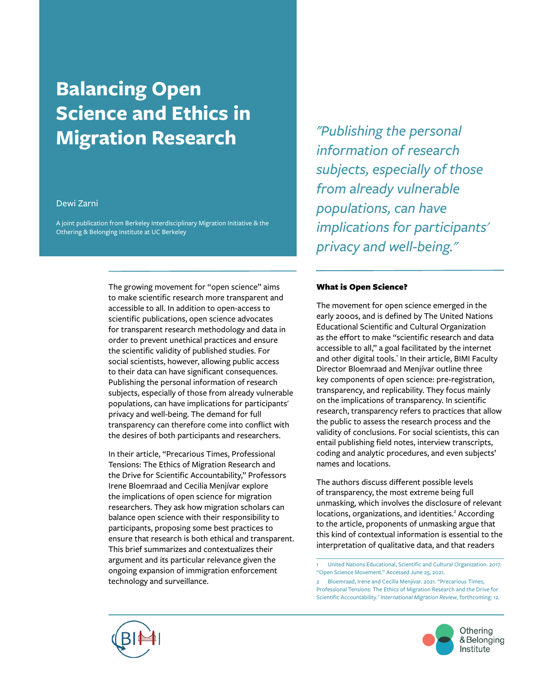# **Balancing Open Science and Ethics in Migration Research**

### Dewi Zarni

A joint publication from Berkeley Interdisciplinary Migration Initiative & the Othering & Belonging Institute at UC Berkeley

> The growing movement for "open science" aims to make scientific research more transparent and accessible to all. In addition to open-access to scientific publications, open science advocates for transparent research methodology and data in order to prevent unethical practices and ensure the scientific validity of published studies. For social scientists, however, allowing public access to their data can have significant consequences. Publishing the personal information of research subjects, especially of those from already vulnerable populations, can have implications for participants' privacy and well-being. The demand for full transparency can therefore come into conflict with the desires of both participants and researchers.

> In their article, "Precarious Times, Professional Tensions: The Ethics of Migration Research and the Drive for Scientific Accountability," Professors Irene Bloemraad and Cecilia Menjívar explore the implications of open science for migration researchers. They ask how migration scholars can balance open science with their responsibility to participants, proposing some best practices to ensure that research is both ethical and transparent. This brief summarizes and contextualizes their argument and its particular relevance given the ongoing expansion of immigration enforcement technology and surveillance.

*"Publishing the personal information of research subjects, especially of those from already vulnerable populations, can have implications for participants' privacy and well-being."*

#### What is Open Science?

The movement for open science emerged in the early 2000s, and is defined by The United Nations Educational Scientific and Cultural Organization as the effort to make "scientific research and data accessible to all," a goal facilitated by the internet and other digital tools.<sup>1</sup> In their article, BIMI Faculty Director Bloemraad and Menjívar outline three key components of open science: pre-registration, transparency, and replicability. They focus mainly on the implications of transparency. In scientific research, transparency refers to practices that allow the public to assess the research process and the validity of conclusions. For social scientists, this can entail publishing field notes, interview transcripts, coding and analytic procedures, and even subjects' names and locations.

The authors discuss different possible levels of transparency, the most extreme being full unmasking, which involves the disclosure of relevant locations, organizations, and identities.<sup>2</sup> According to the article, proponents of unmasking argue that this kind of contextual information is essential to the interpretation of qualitative data, and that readers

1 United Nations Educational, Scientific and Cultural Organization. 2017. ["Open Science Movement."](http://www.unesco.org/new/en/communication-and-information/portals-and-platforms/goap/open-science-movement/) Accessed June 25, 2021.

2 [Bloemraad, Irene and Cecilia Menjívar. 2021. "Precarious Times,](https://doi.org/10.1177%2F01979183211014455)  [Professional Tensions: The Ethics of Migration Research and the Drive for](https://doi.org/10.1177%2F01979183211014455)  Scientific Accountability." *[International Migration Review](https://doi.org/10.1177%2F01979183211014455)*, forthcoming: 12.



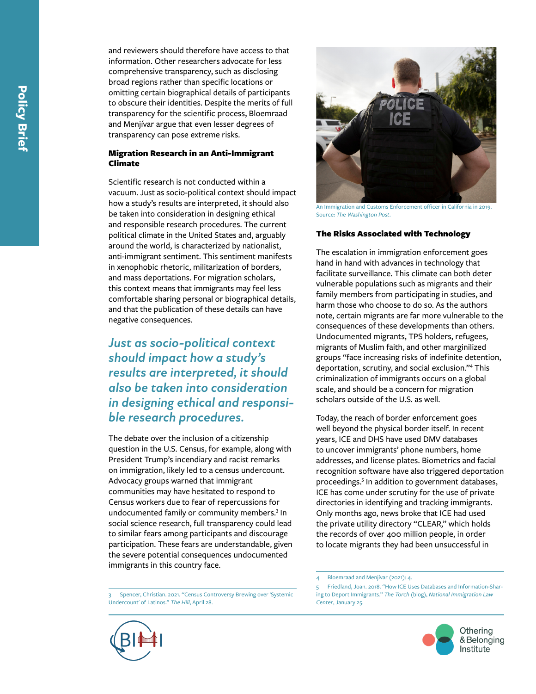and reviewers should therefore have access to that information. Other researchers advocate for less comprehensive transparency, such as disclosing broad regions rather than specific locations or omitting certain biographical details of participants to obscure their identities. Despite the merits of full transparency for the scientific process, Bloemraad and Menjívar argue that even lesser degrees of transparency can pose extreme risks.

### Migration Research in an Anti-Immigrant Climate

Scientific research is not conducted within a vacuum. Just as socio-political context should impact how a study's results are interpreted, it should also be taken into consideration in designing ethical and responsible research procedures. The current political climate in the United States and, arguably around the world, is characterized by nationalist, anti-immigrant sentiment. This sentiment manifests in xenophobic rhetoric, militarization of borders, and mass deportations. For migration scholars, this context means that immigrants may feel less comfortable sharing personal or biographical details, and that the publication of these details can have negative consequences.

*Just as socio-political context should impact how a study's results are interpreted, it should also be taken into consideration in designing ethical and responsi ble research procedures.*

The debate over the inclusion of a citizenship question in the U.S. Census, for example, along with President Trump's incendiary and racist remarks on immigration, likely led to a census undercount. Advocacy groups warned that immigrant communities may have hesitated to respond to Census workers due to fear of repercussions for undocumented family or community members.<sup>3</sup> In social science research, full transparency could lead to similar fears among participants and discourage participation. These fears are understandable, given the severe potential consequences undocumented immigrants in this country face.

3 [Spencer, Christian. 2021. "Census Controversy Brewing over 'Systemic](https://thehill.com/changing-america/respect/accessibility/550697-census-controversy-brewing-over-systemic-undercount-of)  [Undercount' of Latinos."](https://thehill.com/changing-america/respect/accessibility/550697-census-controversy-brewing-over-systemic-undercount-of) *The Hill*, April 28.



An Immigration and Customs Enforcement officer in California in 2019. Source: *[The Washington Post](https://www.washingtonpost.com/technology/2021/02/26/ice-private-utility-data/)* .

### The Risks Associated with Technology

The escalation in immigration enforcement goes hand in hand with advances in technology that facilitate surveillance. This climate can both deter vulnerable populations such as migrants and their family members from participating in studies, and harm those who choose to do so. As the authors note, certain migrants are far more vulnerable to the consequences of these developments than others. Undocumented migrants, TPS holders, refugees, migrants of Muslim faith, and other marginilized groups "face increasing risks of indefinite detention, deportation, scrutiny, and social exclusion."<sup>4</sup> This criminalization of immigrants occurs on a global scale, and should be a concern for migration scholars outside of the U.S. as well.

Today, the reach of border enforcement goes well beyond the physical border itself. In recent years, ICE and DHS have used DMV databases to uncover immigrants' phone numbers, home addresses, and license plates. Biometrics and facial recognition software have also triggered deportation proceedings. <sup>5</sup> In addition to government databases, ICE has come under scrutiny for the use of private directories in identifying and tracking immigrants. Only months ago, news broke that ICE had used the private utility directory "CLEAR," which holds the records of over 400 million people, in order to locate migrants they had been unsuccessful in<br> $\frac{1}{4}$  $\frac{1}{4}$  $\frac{1}{4}$  Bloemraad and Menjívar (2021): 4.

<sup>5</sup> Friedland, [Joan. 2018. "How ICE Uses Databases and Information-Shar](https://www.nilc.org/2018/01/25/how-ice-uses-databases-and-information-sharing-to-deport-immigrants/) [ing to Deport Immigrants."](https://www.nilc.org/2018/01/25/how-ice-uses-databases-and-information-sharing-to-deport-immigrants/) *The Torch* (blog), *National Immigration Law Center*[, January 25.](https://www.nilc.org/2018/01/25/how-ice-uses-databases-and-information-sharing-to-deport-immigrants/)



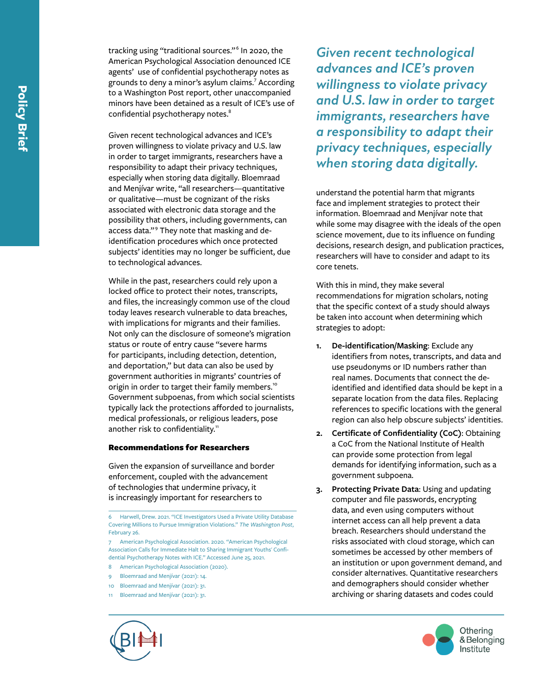Given recent technological advances and ICE's proven willingness to violate privacy and U.S. law in order to target immigrants, researchers have a responsibility to adapt their privacy techniques, especially when storing data digitally. Bloemraad and Menjívar write, "all researchers—quantitative or qualitative—must be cognizant of the risks associated with electronic data storage and the possibility that others, including governments, can access data."<sup>9</sup> They note that masking and deidentification procedures which once protected subjects' identities may no longer be sufficient, due to technological advances.

While in the past, researchers could rely upon a locked office to protect their notes, transcripts, and files, the increasingly common use of the cloud today leaves research vulnerable to data breaches, with implications for migrants and their families. Not only can the disclosure of someone's migration status or route of entry cause "severe harms for participants, including detection, detention, and deportation," but data can also be used by government authorities in migrants' countries of origin in order to target their family members.<sup>10</sup> Government subpoenas, from which social scientists typically lack the protections afforded to journalists, medical professionals, or religious leaders, pose another risk to confidentiality.<sup>11</sup>

### Recommendations for Researchers

Given the expansion of surveillance and border enforcement, coupled with the advancement of technologies that undermine privacy, it is increasingly important for researchers to<br> $\frac{1}{6}$  Harwell, Drew. 2021. "ICE Investigators Used a Private Utility Database

7 [American Psychological Association. 2020. "American Psychological](https://www.apa.org/news/press/releases/2020/02/sharing-therapy-notes)  [Association Calls for Immediate Halt to Sharing Immigrant Youths' Confi](https://www.apa.org/news/press/releases/2020/02/sharing-therapy-notes) [dential Psychotherapy Notes with ICE."](https://www.apa.org/news/press/releases/2020/02/sharing-therapy-notes) Accessed June 25, 2021.

- 8 [American Psychological Association \(2020\).](https://www.apa.org/news/press/releases/2020/02/sharing-therapy-notes)
- 9 [Bloemraad and Menjívar \(2021\): 14.](https://doi.org/10.1177/01979183211014455)
- 10 [Bloemraad and Menjívar \(2021\): 31.](https://doi.org/10.1177/01979183211014455)
- 11 [Bloemraad and Menjívar \(2021\): 31.](https://doi.org/10.1177/01979183211014455)



*Given recent technological advances and ICE's proven willingness to violate privacy and U.S. law in order to target immigrants, researchers have a responsibility to adapt their privacy techniques, especially when storing data digitally.*

understand the potential harm that migrants face and implement strategies to protect their information. Bloemraad and Menjívar note that while some may disagree with the ideals of the open science movement, due to its influence on funding decisions, research design, and publication practices, researchers will have to consider and adapt to its core tenets.

With this in mind, they make several recommendations for migration scholars, noting that the specific context of a study should always be taken into account when determining which strategies to adopt:

- **1. De-identification/Masking**: Exclude any identifiers from notes, transcripts, and data and use pseudonyms or ID numbers rather than real names. Documents that connect the deidentified and identified data should be kept in a separate location from the data files. Replacing references to specific locations with the general region can also help obscure subjects' identities.
- **2. Certificate of Confidentiality (CoC)**: Obtaining a CoC from the National Institute of Health can provide some protection from legal demands for identifying information, such as a government subpoena.
- **3. Protecting Private Data**: Using and updating computer and file passwords, encrypting data, and even using computers without internet access can all help prevent a data breach. Researchers should understand the risks associated with cloud storage, which can sometimes be accessed by other members of an institution or upon government demand, and consider alternatives. Quantitative researchers and demographers should consider whether archiving or sharing datasets and codes could



[Covering Millions to Pursue Immigration Violations."](https://www.washingtonpost.com/technology/2021/02/26/ice-private-utility-data) *The Washington Post*, [February 26.](https://www.washingtonpost.com/technology/2021/02/26/ice-private-utility-data)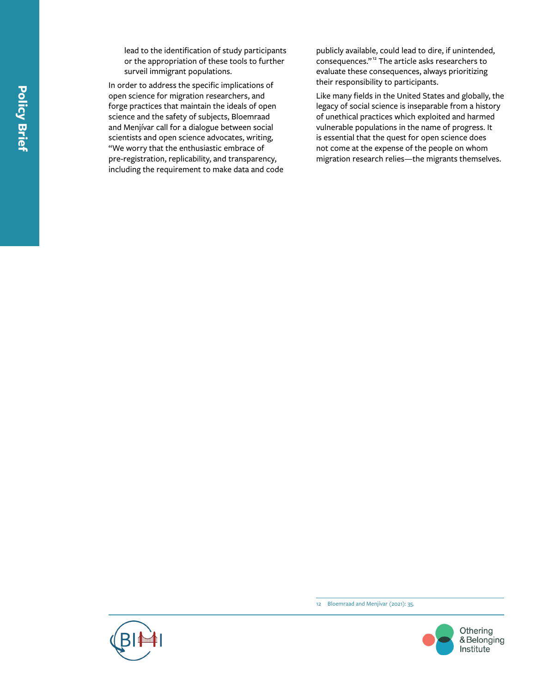lead to the identification of study participants or the appropriation of these tools to further surveil immigrant populations.

In order to address the specific implications of open science for migration researchers, and forge practices that maintain the ideals of open science and the safety of subjects, Bloemraad and Menjívar call for a dialogue between social scientists and open science advocates, writing, "We worry that the enthusiastic embrace of pre-registration, replicability, and transparency, including the requirement to make data and code publicly available, could lead to dire, if unintended, consequences."12 The article asks researchers to evaluate these consequences, always prioritizing their responsibility to participants.

Like many fields in the United States and globally, the legacy of social science is inseparable from a history of unethical practices which exploited and harmed vulnerable populations in the name of progress. It is essential that the quest for open science does not come at the expense of the people on whom migration research relies—the migrants themselves.

12 [Bloemraad and Menjívar \(2021\): 35.](https://doi.org/10.1177/01979183211014455)